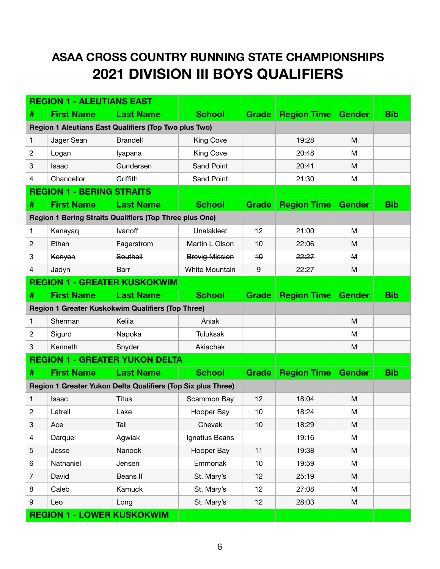## **ASAA CROSS COUNTRY RUNNING STATE CHAMPIONSHIPS 2021 DIVISION III BOYS QUALIFIERS**

|                                                                | <b>REGION 1 - ALEUTIANS EAST</b> |                                                              |                       |                      |                    |               |            |
|----------------------------------------------------------------|----------------------------------|--------------------------------------------------------------|-----------------------|----------------------|--------------------|---------------|------------|
| #                                                              | <b>First Name</b>                | <b>Last Name</b>                                             | <b>School</b>         | Grade                | <b>Region Time</b> | <b>Gender</b> | <b>Bib</b> |
| Region 1 Aleutians East Qualifiers (Top Two plus Two)          |                                  |                                                              |                       |                      |                    |               |            |
| 1                                                              | Jager Sean                       | <b>Brandell</b>                                              | <b>King Cove</b>      |                      | 19:28              | M             |            |
| $\overline{c}$                                                 | Logan                            | lyapana                                                      | King Cove             |                      | 20:48              | м             |            |
| 3                                                              | Isaac                            | Gundersen                                                    | Sand Point            |                      | 20:41              | M             |            |
| 4                                                              | Chancellor                       | Griffith                                                     | Sand Point            |                      | 21:30              | M             |            |
|                                                                | <b>REGION 1 - BERING STRAITS</b> |                                                              |                       |                      |                    |               |            |
| #                                                              | <b>First Name</b>                | <b>Last Name</b>                                             | <b>School</b>         | <b>Grade</b>         | <b>Region Time</b> | <b>Gender</b> | <b>Bib</b> |
| <b>Region 1 Bering Straits Qualifiers (Top Three plus One)</b> |                                  |                                                              |                       |                      |                    |               |            |
| 1                                                              | Kanayaq                          | Ivanoff                                                      | Unalakleet            | 12                   | 21:00              | M             |            |
| 2                                                              | Ethan                            | Fagerstrom                                                   | Martin L Olson        | 10                   | 22:06              | М             |            |
| 3                                                              | Kenyon                           | Southall                                                     | <b>Brevig Mission</b> | $\overline{+}\theta$ | 22:27              | $\mathsf{M}$  |            |
| 4                                                              | Jadyn                            | Barr                                                         | White Mountain        | 9                    | 22:27              | M             |            |
| <b>REGION 1 - GREATER KUSKOKWIM</b>                            |                                  |                                                              |                       |                      |                    |               |            |
| #                                                              | <b>First Name</b>                | <b>Last Name</b>                                             | <b>School</b>         | Grade                | <b>Region Time</b> | <b>Gender</b> | <b>Bib</b> |
| Region 1 Greater Kuskokwim Qualifiers (Top Three)              |                                  |                                                              |                       |                      |                    |               |            |
| 1                                                              | Sherman                          | Kelila                                                       | Aniak                 |                      |                    | M             |            |
| $\mathbf{2}$                                                   | Sigurd                           | Napoka                                                       | <b>Tuluksak</b>       |                      |                    | м             |            |
| 3                                                              | Kenneth                          | Snyder                                                       | Akiachak              |                      |                    | M             |            |
| <b>REGION 1 - GREATER YUKON DELTA</b>                          |                                  |                                                              |                       |                      |                    |               |            |
| #                                                              | <b>First Name</b>                | <b>Last Name</b>                                             | <b>School</b>         | <b>Grade</b>         | <b>Region Time</b> | <b>Gender</b> | <b>Bib</b> |
|                                                                |                                  | Region 1 Greater Yukon Delta Qualifiers (Top Six plus Three) |                       |                      |                    |               |            |
| 1                                                              | Isaac                            | Titus                                                        | Scammon Bay           | 12                   | 18:04              | M             |            |
| $\overline{c}$                                                 | Latrell                          | Lake                                                         | Hooper Bay            | 10                   | 18:24              | M             |            |
| $\ensuremath{\mathsf{3}}$                                      | Ace                              | Tall                                                         | Chevak                | 10                   | 18:29              | M             |            |
| 4                                                              | Darquel                          | Agwiak                                                       | Ignatius Beans        |                      | 19:16              | M             |            |
| $\mathbf 5$                                                    | Jesse                            | Nanook                                                       | Hooper Bay            | 11                   | 19:38              | M             |            |
| 6                                                              | Nathaniel                        | Jensen                                                       | Emmonak               | 10                   | 19:59              | M             |            |
| $\overline{7}$                                                 | David                            | Beans II                                                     | St. Mary's            | 12                   | 25:19              | M             |            |
| 8                                                              | Caleb                            | Kamuck                                                       | St. Mary's            | 12                   | 27:08              | M             |            |
| $\boldsymbol{9}$                                               | Leo                              | Long                                                         | St. Mary's            | 12                   | 28:03              | M             |            |
| <b>REGION 1 - LOWER KUSKOKWIM</b>                              |                                  |                                                              |                       |                      |                    |               |            |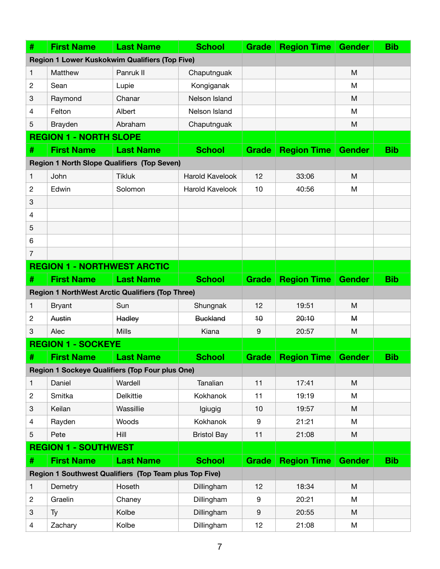| #                                                      | <b>First Name</b>                                       | <b>Last Name</b> | <b>School</b>          | <b>Grade</b>     | <b>Region Time</b> | <b>Gender</b> | <b>Bib</b> |
|--------------------------------------------------------|---------------------------------------------------------|------------------|------------------------|------------------|--------------------|---------------|------------|
|                                                        | <b>Region 1 Lower Kuskokwim Qualifiers (Top Five)</b>   |                  |                        |                  |                    |               |            |
| 1                                                      | Matthew                                                 | Panruk II        | Chaputnguak            |                  |                    | M             |            |
| $\overline{c}$                                         | Sean                                                    | Lupie            | Kongiganak             |                  |                    | M             |            |
| 3                                                      | Raymond                                                 | Chanar           | Nelson Island          |                  |                    | M             |            |
| 4                                                      | Felton                                                  | Albert           | Nelson Island          |                  |                    | M             |            |
| 5                                                      | Brayden                                                 | Abraham          | Chaputnguak            |                  |                    | M             |            |
|                                                        | <b>REGION 1 - NORTH SLOPE</b>                           |                  |                        |                  |                    |               |            |
| #                                                      | <b>First Name</b>                                       | <b>Last Name</b> | <b>School</b>          | <b>Grade</b>     | <b>Region Time</b> | <b>Gender</b> | <b>Bib</b> |
|                                                        | <b>Region 1 North Slope Qualifiers (Top Seven)</b>      |                  |                        |                  |                    |               |            |
| 1                                                      | John                                                    | <b>Tikluk</b>    | <b>Harold Kavelook</b> | 12               | 33:06              | M             |            |
| $\overline{c}$                                         | Edwin                                                   | Solomon          | <b>Harold Kavelook</b> | 10               | 40:56              | м             |            |
| 3                                                      |                                                         |                  |                        |                  |                    |               |            |
| 4                                                      |                                                         |                  |                        |                  |                    |               |            |
| 5                                                      |                                                         |                  |                        |                  |                    |               |            |
| 6                                                      |                                                         |                  |                        |                  |                    |               |            |
| 7                                                      |                                                         |                  |                        |                  |                    |               |            |
| <b>REGION 1 - NORTHWEST ARCTIC</b>                     |                                                         |                  |                        |                  |                    |               |            |
| #                                                      | <b>First Name</b>                                       | <b>Last Name</b> | <b>School</b>          | <b>Grade</b>     | <b>Region Time</b> | <b>Gender</b> | <b>Bib</b> |
|                                                        | <b>Region 1 NorthWest Arctic Qualifiers (Top Three)</b> |                  |                        |                  |                    |               |            |
| $\mathbf{1}$                                           | <b>Bryant</b>                                           | Sun              | Shungnak               | 12               | 19:51              | M             |            |
| 2                                                      | Austin                                                  | Hadley           | <b>Buckland</b>        | $\overline{10}$  | 20:10              | $\mathbf{M}$  |            |
| 3                                                      | Alec                                                    | <b>Mills</b>     | Kiana                  | 9                | 20:57              | M             |            |
|                                                        | <b>REGION 1 - SOCKEYE</b>                               |                  |                        |                  |                    |               |            |
| #                                                      | <b>First Name</b>                                       | <b>Last Name</b> | <b>School</b>          | <b>Grade</b>     | <b>Region Time</b> | <b>Gender</b> | <b>Bib</b> |
|                                                        | <b>Region 1 Sockeye Qualifiers (Top Four plus One)</b>  |                  |                        |                  |                    |               |            |
| $\mathbf{1}$                                           | Daniel                                                  | Wardell          | Tanalian               | 11               | 17:41              | M             |            |
| $\overline{c}$                                         | Smitka                                                  | <b>Delkittie</b> | <b>Kokhanok</b>        | 11               | 19:19              | M             |            |
| 3                                                      | Keilan                                                  | Wassillie        | Igiugig                | 10               | 19:57              | M             |            |
| 4                                                      | Rayden                                                  | Woods            | Kokhanok               | 9                | 21:21              | M             |            |
| 5                                                      | Pete                                                    | Hill             | <b>Bristol Bay</b>     | 11               | 21:08              | M             |            |
|                                                        | <b>REGION 1 - SOUTHWEST</b>                             |                  |                        |                  |                    |               |            |
| #                                                      | <b>First Name</b>                                       | <b>Last Name</b> | <b>School</b>          | <b>Grade</b>     | <b>Region Time</b> | <b>Gender</b> | <b>Bib</b> |
| Region 1 Southwest Qualifiers (Top Team plus Top Five) |                                                         |                  |                        |                  |                    |               |            |
| $\mathbf{1}$                                           | Demetry                                                 | Hoseth           | Dillingham             | 12               | 18:34              | M             |            |
| $\overline{c}$                                         | Graelin                                                 | Chaney           | Dillingham             | $\boldsymbol{9}$ | 20:21              | M             |            |
| 3                                                      | Ty                                                      | Kolbe            | Dillingham             | 9                | 20:55              | M             |            |
| 4                                                      | Zachary                                                 | Kolbe            | Dillingham             | 12               | 21:08              | M             |            |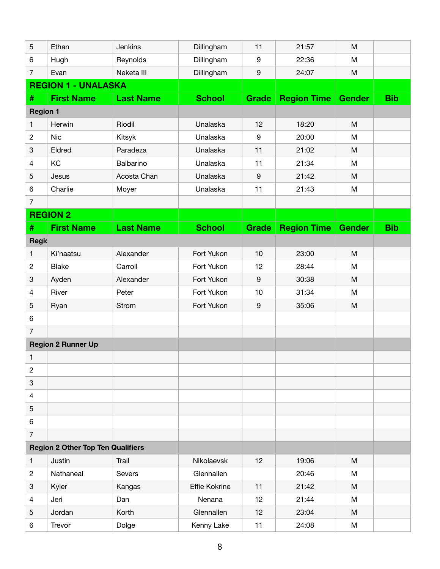| 5               | Ethan                                    | Jenkins          | Dillingham    | 11               | 21:57              | M             |            |
|-----------------|------------------------------------------|------------------|---------------|------------------|--------------------|---------------|------------|
| 6               | Hugh                                     | Reynolds         | Dillingham    | $\boldsymbol{9}$ | 22:36              | M             |            |
| $\overline{7}$  | Evan                                     | Neketa III       | Dillingham    | $\boldsymbol{9}$ | 24:07              | M             |            |
|                 | <b>REGION 1 - UNALASKA</b>               |                  |               |                  |                    |               |            |
| #               | <b>First Name</b>                        | <b>Last Name</b> | <b>School</b> | <b>Grade</b>     | <b>Region Time</b> | <b>Gender</b> | <b>Bib</b> |
| <b>Region 1</b> |                                          |                  |               |                  |                    |               |            |
| $\mathbf{1}$    | Herwin                                   | Riodil           | Unalaska      | 12               | 18:20              | M             |            |
| $\overline{c}$  | <b>Nic</b>                               | Kitsyk           | Unalaska      | 9                | 20:00              | M             |            |
| 3               | Eldred                                   | Paradeza         | Unalaska      | 11               | 21:02              | M             |            |
| 4               | KC                                       | Balbarino        | Unalaska      | 11               | 21:34              | M             |            |
| 5               | Jesus                                    | Acosta Chan      | Unalaska      | $\boldsymbol{9}$ | 21:42              | M             |            |
| 6               | Charlie                                  | Moyer            | Unalaska      | 11               | 21:43              | M             |            |
| $\overline{7}$  |                                          |                  |               |                  |                    |               |            |
|                 | <b>REGION 2</b>                          |                  |               |                  |                    |               |            |
| #               | <b>First Name</b>                        | <b>Last Name</b> | <b>School</b> | <b>Grade</b>     | <b>Region Time</b> | <b>Gender</b> | <b>Bib</b> |
| Regio           |                                          |                  |               |                  |                    |               |            |
| $\mathbf{1}$    | Ki'naatsu                                | Alexander        | Fort Yukon    | 10               | 23:00              | M             |            |
| $\mathbf{2}$    | <b>Blake</b>                             | Carroll          | Fort Yukon    | 12               | 28:44              | M             |            |
| 3               | Ayden                                    | Alexander        | Fort Yukon    | $\boldsymbol{9}$ | 30:38              | M             |            |
| 4               | River                                    | Peter            | Fort Yukon    | 10               | 31:34              | M             |            |
| 5               | Ryan                                     | Strom            | Fort Yukon    | $\boldsymbol{9}$ | 35:06              | M             |            |
| 6               |                                          |                  |               |                  |                    |               |            |
| $\overline{7}$  |                                          |                  |               |                  |                    |               |            |
|                 | <b>Region 2 Runner Up</b>                |                  |               |                  |                    |               |            |
| 1               |                                          |                  |               |                  |                    |               |            |
| $\mathbf{2}$    |                                          |                  |               |                  |                    |               |            |
| 3               |                                          |                  |               |                  |                    |               |            |
| 4               |                                          |                  |               |                  |                    |               |            |
| 5               |                                          |                  |               |                  |                    |               |            |
| 6               |                                          |                  |               |                  |                    |               |            |
| $\overline{7}$  |                                          |                  |               |                  |                    |               |            |
|                 | <b>Region 2 Other Top Ten Qualifiers</b> |                  |               |                  |                    |               |            |
| $\mathbf{1}$    | Justin                                   | Trail            | Nikolaevsk    | 12               | 19:06              | M             |            |
| $\overline{c}$  | Nathaneal                                | Severs           | Glennallen    |                  | 20:46              | M             |            |
| 3               | Kyler                                    | Kangas           | Effie Kokrine | 11               | 21:42              | M             |            |
| 4               | Jeri                                     | Dan              | Nenana        | 12               | 21:44              | M             |            |
| 5               | Jordan                                   | Korth            | Glennallen    | 12               | 23:04              | M             |            |
| $\,6$           | Trevor                                   | Dolge            | Kenny Lake    | 11               | 24:08              | M             |            |